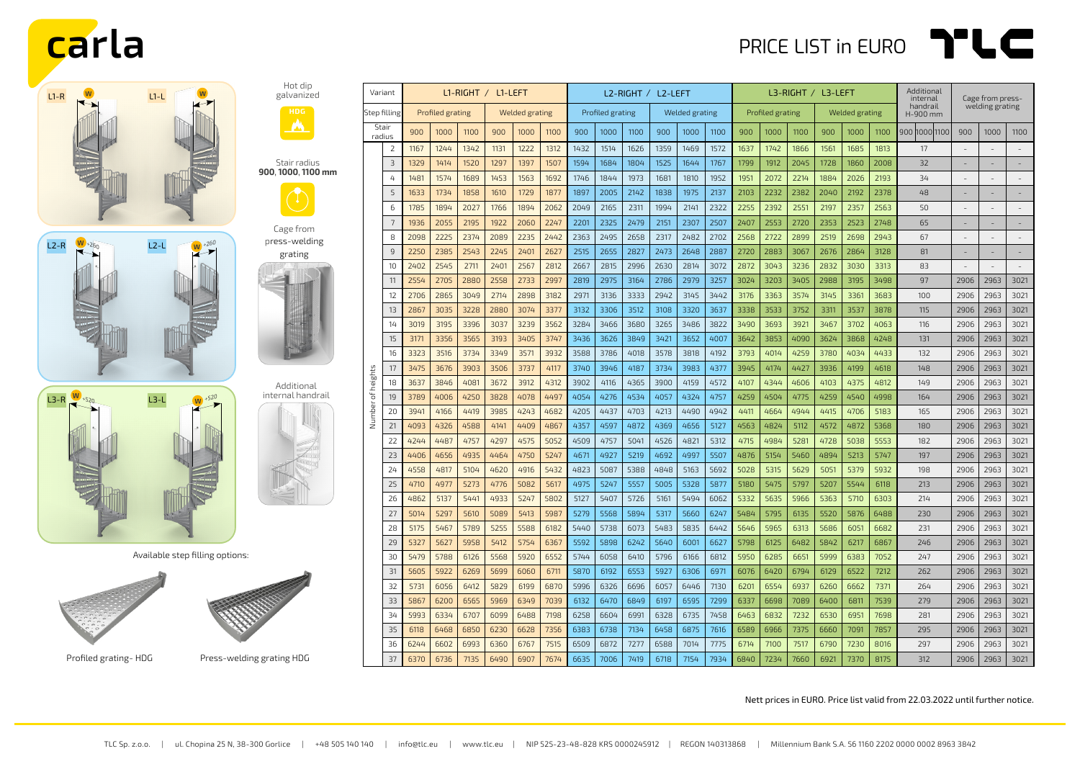## **carla** PRICE LIST in EURO **PUC**







Hot dip galvanized

Stair radius **900**, **1000**, **1100 mm**

Cage from press-welding grating

Available step filling options:





Profiled grating-HDG Press-welding grating HDG

| Variant           |                | L1-RIGHT / L1-LEFT |      |      |                |      |      | L2-RIGHT / L2-LEFT |      |      |                       |      | L3-RIGHT / L3-LEFT |                  |      |      |                       | Additional<br>internal | Cage from press- |                      |                          |                          |                |
|-------------------|----------------|--------------------|------|------|----------------|------|------|--------------------|------|------|-----------------------|------|--------------------|------------------|------|------|-----------------------|------------------------|------------------|----------------------|--------------------------|--------------------------|----------------|
| Step filling      |                | Profiled grating   |      |      | Welded grating |      |      | Profiled grating   |      |      | <b>Welded grating</b> |      |                    | Profiled grating |      |      | <b>Welded grating</b> |                        |                  | handrail<br>H-900 mm | welding grating          |                          |                |
| Stair<br>radius   |                | 900                | 1000 | 1100 | 900            | 1000 | 1100 | 900                | 1000 | 1100 | 900                   | 1000 | 1100               | 900              | 1000 | 1100 | 900                   | 1000                   | 1100             | 900  1000  1100      | 900                      | 1000                     | 1100           |
|                   | $\overline{2}$ | 1167               | 1244 | 1342 | 1131           | 1222 | 1312 | 1432               | 1514 | 1626 | 1359                  | 1469 | 1572               | 1637             | 1742 | 1866 | 1561                  | 1685                   | 1813             | 17                   |                          |                          | $\overline{a}$ |
|                   | 3              | 1329               | 1414 | 1520 | 1297           | 1397 | 1507 | 1594               | 1684 | 1804 | 1525                  | 1644 | 1767               | 1799             | 1912 | 2045 | 1728                  | 1860                   | 2008             | 32                   | $\overline{\phantom{a}}$ | ٠                        | $\sim$         |
|                   | 4              | 1481               | 1574 | 1689 | 1453           | 1563 | 1692 | 1746               | 1844 | 1973 | 1681                  | 1810 | 1952               | 1951             | 2072 | 2214 | 1884                  | 2026                   | 2193             | 34                   |                          |                          |                |
|                   | 5              | 1633               | 1734 | 1858 | 1610           | 1729 | 1877 | 1897               | 2005 | 2142 | 1838                  | 1975 | 2137               | 2103             | 2232 | 2382 | 2040                  | 2192                   | 2378             | 48                   | $\overline{\phantom{a}}$ | $\qquad \qquad -$        |                |
|                   | 6              | 1785               | 1894 | 2027 | 1766           | 1894 | 2062 | 2049               | 2165 | 2311 | 1994                  | 2141 | 2322               | 2255             | 2392 | 2551 | 2197                  | 2357                   | 2563             | 50                   |                          |                          |                |
|                   | 7              | 1936               | 2055 | 2195 | 1922           | 2060 | 2247 | 2201               | 2325 | 2479 | 2151                  | 2307 | 2507               | 2407             | 2553 | 2720 | 2353                  | 2523                   | 2748             | 65                   |                          |                          |                |
|                   | 8              | 2098               | 2225 | 2374 | 2089           | 2235 | 2442 | 2363               | 2495 | 2658 | 2317                  | 2482 | 2702               | 2568             | 2722 | 2899 | 2519                  | 2698                   | 2943             | 67                   | $\overline{\phantom{a}}$ | $\overline{\phantom{a}}$ | $\overline{a}$ |
|                   | $\overline{9}$ | 2250               | 2385 | 2543 | 2245           | 2401 | 2627 | 2515               | 2655 | 2827 | 2473                  | 2648 | 2887               | 2720             | 2883 | 3067 | 2676                  | 2864                   | 3128             | 81                   | $\overline{\phantom{a}}$ | $\sim$                   | $\overline{a}$ |
|                   | 10             | 2402               | 2545 | 2711 | 2401           | 2567 | 2812 | 2667               | 2815 | 2996 | 2630                  | 2814 | 3072               | 2872             | 3043 | 3236 | 2832                  | 3030                   | 3313             | 83                   | $\overline{a}$           | ÷,                       | ÷,             |
|                   | 11             | 2554               | 2705 | 2880 | 2558           | 2733 | 2997 | 2819               | 2975 | 3164 | 2786                  | 2979 | 3257               | 3024             | 3203 | 3405 | 2988                  | 3195                   | 3498             | 97                   | 2906                     | 2963                     | 3021           |
|                   | 12             | 2706               | 2865 | 3049 | 2714           | 2898 | 3182 | 2971               | 3136 | 3333 | 2942                  | 3145 | 3442               | 3176             | 3363 | 3574 | 3145                  | 3361                   | 3683             | 100                  | 2906                     | 2963                     | 3021           |
| Number of heights | 13             | 2867               | 3035 | 3228 | 2880           | 3074 | 3377 | 3132               | 3306 | 3512 | 3108                  | 3320 | 3637               | 3338             | 3533 | 3752 | 3311                  | 3537                   | 3878             | 115                  | 2906                     | 2963                     | 3021           |
|                   | 14             | 3019               | 3195 | 3396 | 3037           | 3239 | 3562 | 3284               | 3466 | 3680 | 3265                  | 3486 | 3822               | 3490             | 3693 | 3921 | 3467                  | 3702                   | 4063             | 116                  | 2906                     | 2963                     | 3021           |
|                   | 15             | 3171               | 3356 | 3565 | 3193           | 3405 | 3747 | 3436               | 3626 | 3849 | 3421                  | 3652 | 4007               | 3642             | 3853 | 4090 | 3624                  | 3868                   | 4248             | 131                  | 2906                     | 2963                     | 3021           |
|                   | 16             | 3323               | 3516 | 3734 | 3349           | 3571 | 3932 | 3588               | 3786 | 4018 | 3578                  | 3818 | 4192               | 3793             | 4014 | 4259 | 3780                  | 4034                   | 4433             | 132                  | 2906                     | 2963                     | 3021           |
|                   | 17             | 3475               | 3676 | 3903 | 3506           | 3737 | 4117 | 3740               | 3946 | 4187 | 3734                  | 3983 | 4377               | 3945             | 4174 | 4427 | 3936                  | 4199                   | 4618             | 148                  | 2906                     | 2963                     | 3021           |
|                   | 18             | 3637               | 3846 | 4081 | 3672           | 3912 | 4312 | 3902               | 4116 | 4365 | 3900                  | 4159 | 4572               | 4107             | 4344 | 4606 | 4103                  | 4375                   | 4812             | 149                  | 2906                     | 2963                     | 3021           |
|                   | 19             | 3789               | 4006 | 4250 | 3828           | 4078 | 4497 | 4054               | 4276 | 4534 | 4057                  | 4324 | 4757               | 4259             | 4504 | 4775 | 4259                  | 4540                   | 4998             | 164                  | 2906                     | 2963                     | 3021           |
|                   | 20             | 3941               | 4166 | 4419 | 3985           | 4243 | 4682 | 4205               | 4437 | 4703 | 4213                  | 4490 | 4942               | 4411             | 4664 | 4944 | 4415                  | 4706                   | 5183             | 165                  | 2906                     | 2963                     | 3021           |
|                   | 21             | 4093               | 4326 | 4588 | 4141           | 4409 | 4867 | 4357               | 4597 | 4872 | 4369                  | 4656 | 5127               | 4563             | 4824 | 5112 | 4572                  | 4872                   | 5368             | 180                  | 2906                     | 2963                     | 3021           |
|                   | 22             | 4244               | 4487 | 4757 | 4297           | 4575 | 5052 | 4509               | 4757 | 5041 | 4526                  | 4821 | 5312               | 4715             | 4984 | 5281 | 4728                  | 5038                   | 5553             | 182                  | 2906                     | 2963                     | 3021           |
|                   | 23             | 4406               | 4656 | 4935 | 4464           | 4750 | 5247 | 4671               | 4927 | 5219 | 4692                  | 4997 | 5507               | 4876             | 5154 | 5460 | 4894                  | 5213                   | 5747             | 197                  | 2906                     | 2963                     | 3021           |
|                   | 24             | 4558               | 4817 | 5104 | 4620           | 4916 | 5432 | 4823               | 5087 | 5388 | 4848                  | 5163 | 5692               | 5028             | 5315 | 5629 | 5051                  | 5379                   | 5932             | 198                  | 2906                     | 2963                     | 3021           |
|                   | 25             | 4710               | 4977 | 5273 | 4776           | 5082 | 5617 | 4975               | 5247 | 5557 | 5005                  | 5328 | 5877               | 5180             | 5475 | 5797 | 5207                  | 5544                   | 6118             | 213                  | 2906                     | 2963                     | 3021           |
|                   | 26             | 4862               | 5137 | 5441 | 4933           | 5247 | 5802 | 5127               | 5407 | 5726 | 5161                  | 5494 | 6062               | 5332             | 5635 | 5966 | 5363                  | 5710                   | 6303             | 214                  | 2906                     | 2963                     | 3021           |
|                   | 27             | 5014               | 5297 | 5610 | 5089           | 5413 | 5987 | 5279               | 5568 | 5894 | 5317                  | 5660 | 6247               | 5484             | 5795 | 6135 | 5520                  | 5876                   | 6488             | 230                  | 2906                     | 2963                     | 3021           |
|                   | 28             | 5175               | 5467 | 5789 | 5255           | 5588 | 6182 | 5440               | 5738 | 6073 | 5483                  | 5835 | 6442               | 5646             | 5965 | 6313 | 5686                  | 6051                   | 6682             | 231                  | 2906                     | 2963                     | 3021           |
|                   | 29             | 5327               | 5627 | 5958 | 5412           | 5754 | 6367 | 5592               | 5898 | 6242 | 5640                  | 6001 | 6627               | 5798             | 6125 | 6482 | 5842                  | 6217                   | 6867             | 246                  | 2906                     | 2963                     | 3021           |
|                   | 30             | 5479               | 5788 | 6126 | 5568           | 5920 | 6552 | 5744               | 6058 | 6410 | 5796                  | 6166 | 6812               | 5950             | 6285 | 6651 | 5999                  | 6383                   | 7052             | 247                  | 2906                     | 2963                     | 3021           |
|                   | 31             | 5605               | 5922 | 6269 | 5699           | 6060 | 6711 | 5870               | 6192 | 6553 | 5927                  | 6306 | 6971               | 6076             | 6420 | 6794 | 6129                  | 6522                   | 7212             | 262                  | 2906                     | 2963                     | 3021           |
|                   | 32             | 5731               | 6056 | 6412 | 5829           | 6199 | 6870 | 5996               | 6326 | 6696 | 6057                  | 6446 | 7130               | 6201             | 6554 | 6937 | 6260                  | 6662                   | 7371             | 264                  | 2906                     | 2963                     | 3021           |
|                   | 33             | 5867               | 6200 | 6565 | 5969           | 6349 | 7039 | 6132               | 6470 | 6849 | 6197                  | 6595 | 7299               | 6337             | 6698 | 7089 | 6400                  | 6811                   | 7539             | 279                  | 2906                     | 2963                     | 3021           |
|                   | 34             | 5993               | 6334 | 6707 | 6099           | 6488 | 7198 | 6258               | 6604 | 6991 | 6328                  | 6735 | 7458               | 6463             | 6832 | 7232 | 6530                  | 6951                   | 7698             | 281                  | 2906                     | 2963                     | 3021           |
|                   | 35             | 6118               | 6468 | 6850 | 6230           | 6628 | 7356 | 6383               | 6738 | 7134 | 6458                  | 6875 | 7616               | 6589             | 6966 | 7375 | 6660                  | 7091                   | 7857             | 295                  | 2906                     | 2963                     | 3021           |
|                   | 36             | 6244               | 6602 | 6993 | 6360           | 6767 | 7515 | 6509               | 6872 | 7277 | 6588                  | 7014 | 7775               | 6714             | 7100 | 7517 | 6790                  | 7230                   | 8016             | 297                  | 2906                     | 2963                     | 3021           |
|                   | 37             | 6370               | 6736 | 7135 | 6490           | 6907 | 7674 | 6635               | 7006 | 7419 | 6718                  | 7154 | 7934               | 6840             | 7234 | 7660 | 6921                  | 7370                   | 8175             | 312                  | 2906                     | 2963                     | 3021           |

Nett prices in EURO. Price list valid from 22.03.2022 until further notice.